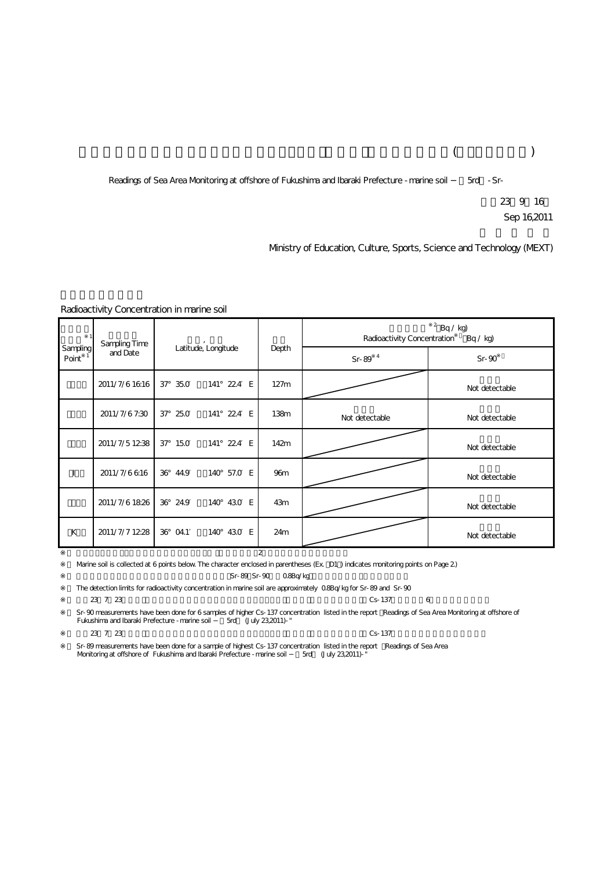# $($

Readings of Sea Area Monitoring at offshore of Fukushima and Ibaraki Prefecture - marine soil - Sr-

23 9 16 Sep 16,2011

## Ministry of Education, Culture, Sports, Science and Technology (MEXT)

#### Radioactivity Concentration in marine soil

| Sampling<br>Point | Sampling Time<br>and Date | Latitude, Longitude |             | Depth            | $2$ Bq / kg)<br>Radioactivity Concentration<br>Bq / kq |                |
|-------------------|---------------------------|---------------------|-------------|------------------|--------------------------------------------------------|----------------|
|                   |                           |                     |             |                  | Sr-89 $4$                                              | $Sr-90$        |
|                   | 2011/7/61616              | $37^{\circ}$ 35.0   | 141° 224 E  | 127m             |                                                        | Not detectable |
|                   | 2011/7/67:30              | 37° 25.0            | 141° 224 E  | 138 <sub>m</sub> | Not detectable                                         | Not detectable |
|                   | 2011/7/51238              | $37^{\circ}$ 150    | 141° 224 E  | 142m             |                                                        | Not detectable |
|                   | 2011/7/6616               | 36° 44.9            | 140° 57.0 E | 96 <sub>m</sub>  |                                                        | Not detectable |
|                   | 2011/7/61826              | 36° 24.9            | 140° 430 E  | 43m              |                                                        | Not detectable |
| К                 | 2011/7/7 1228             | 36° 04.1            | 140° 430 E  | 24m              |                                                        | Not detectable |
| 2                 |                           |                     |             |                  |                                                        |                |

Warine soil is collected at 6 points below. The character enclosed in parentheses (Ex. D1) indicates monitoring points on Page 2) Sr-89 Sr-90 0.8Bq/kg

The detection limits for radioactivity concentration in marine soil are approximately 0.8Bq/kg for Sr-89 and Sr-90

 $23 \t7 \t23$ 

Sr-90 measurements have been done for 6 samples of higher Cs-137 concentration listed in the report ÉReadings of Sea Area Monitoring at offshore of<br>Fukushima and Ibaraki Prefecture -marine soil ----------------------------

 $23 \t7 \t23$ 

Sr-89 measurements have been done for a sample of highest Cs-137 concentration listed in the report a Readings of Sea Area<br>Monitoring at offshore of Fukushima and Ibaraki Prefecture -marine soil 5rd (July 23,2011)-" Monitoring at offshore of Fukushima and Ibaraki Prefecture - marine soil